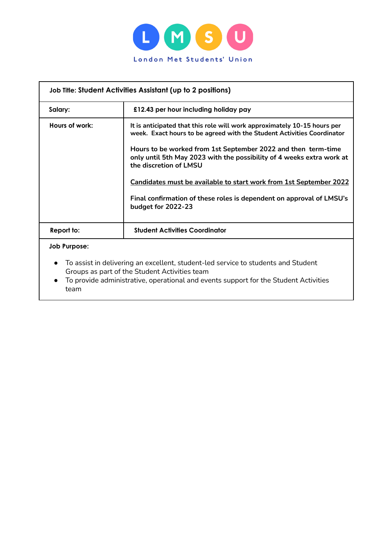

| Job Title: Student Activities Assistant (up to 2 positions) |                                                                                                                                                                                                                                                                                                                                                                                                                                                                                            |  |  |
|-------------------------------------------------------------|--------------------------------------------------------------------------------------------------------------------------------------------------------------------------------------------------------------------------------------------------------------------------------------------------------------------------------------------------------------------------------------------------------------------------------------------------------------------------------------------|--|--|
| Salary:                                                     | £12.43 per hour including holiday pay                                                                                                                                                                                                                                                                                                                                                                                                                                                      |  |  |
| Hours of work:                                              | It is anticipated that this role will work approximately 10-15 hours per<br>week. Exact hours to be agreed with the Student Activities Coordinator<br>Hours to be worked from 1st September 2022 and then term-time<br>only until 5th May 2023 with the possibility of 4 weeks extra work at<br>the discretion of LMSU<br>Candidates must be available to start work from 1st September 2022<br>Final confirmation of these roles is dependent on approval of LMSU's<br>budget for 2022-23 |  |  |
| Report to:                                                  | <b>Student Activities Coordinator</b>                                                                                                                                                                                                                                                                                                                                                                                                                                                      |  |  |
| <b>Job Purpose:</b><br>$\bullet$                            | To assist in delivering an excellent, student-led service to students and Student<br>Groups as part of the Student Activities team                                                                                                                                                                                                                                                                                                                                                         |  |  |

● To provide administrative, operational and events support for the Student Activities team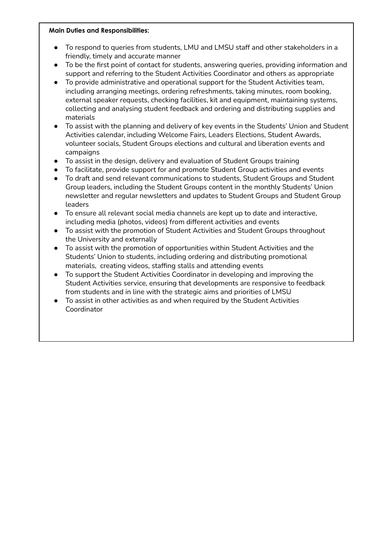## **Main Duties and Responsibilities:**

- To respond to queries from students, LMU and LMSU staff and other stakeholders in a friendly, timely and accurate manner
- To be the first point of contact for students, answering queries, providing information and support and referring to the Student Activities Coordinator and others as appropriate
- To provide administrative and operational support for the Student Activities team, including arranging meetings, ordering refreshments, taking minutes, room booking, external speaker requests, checking facilities, kit and equipment, maintaining systems, collecting and analysing student feedback and ordering and distributing supplies and materials
- To assist with the planning and delivery of key events in the Students' Union and Student Activities calendar, including Welcome Fairs, Leaders Elections, Student Awards, volunteer socials, Student Groups elections and cultural and liberation events and campaigns
- To assist in the design, delivery and evaluation of Student Groups training
- To facilitate, provide support for and promote Student Group activities and events
- To draft and send relevant communications to students, Student Groups and Student Group leaders, including the Student Groups content in the monthly Students' Union newsletter and regular newsletters and updates to Student Groups and Student Group leaders
- To ensure all relevant social media channels are kept up to date and interactive, including media (photos, videos) from different activities and events
- To assist with the promotion of Student Activities and Student Groups throughout the University and externally
- To assist with the promotion of opportunities within Student Activities and the Students' Union to students, including ordering and distributing promotional materials, creating videos, staffing stalls and attending events
- To support the Student Activities Coordinator in developing and improving the Student Activities service, ensuring that developments are responsive to feedback from students and in line with the strategic aims and priorities of LMSU
- To assist in other activities as and when required by the Student Activities Coordinator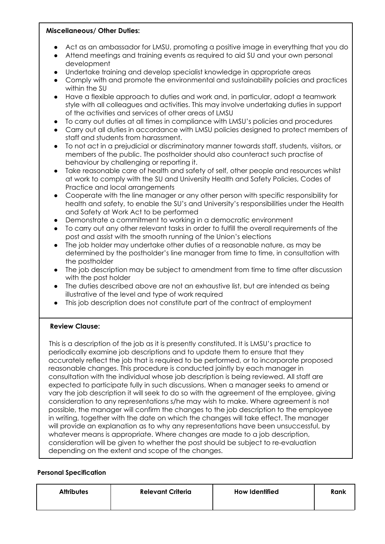## **Miscellaneous/ Other Duties:**

- Act as an ambassador for LMSU, promoting a positive image in everything that you do
- Attend meetings and training events as required to aid SU and your own personal development
- Undertake training and develop specialist knowledge in appropriate areas
- Comply with and promote the environmental and sustainability policies and practices within the SU
- Have a flexible approach to duties and work and, in particular, adopt a teamwork style with all colleagues and activities. This may involve undertaking duties in support of the activities and services of other areas of LMSU
- To carry out duties at all times in compliance with LMSU's policies and procedures
- Carry out all duties in accordance with LMSU policies designed to protect members of staff and students from harassment.
- To not act in a prejudicial or discriminatory manner towards staff, students, visitors, or members of the public. The postholder should also counteract such practise of behaviour by challenging or reporting it.
- Take reasonable care of health and safety of self, other people and resources whilst at work to comply with the SU and University Health and Safety Policies, Codes of Practice and local arrangements
- Cooperate with the line manager or any other person with specific responsibility for health and safety, to enable the SU's and University's responsibilities under the Health and Safety at Work Act to be performed
- Demonstrate a commitment to working in a democratic environment
- To carry out any other relevant tasks in order to fulfill the overall requirements of the post and assist with the smooth running of the Union's elections
- The job holder may undertake other duties of a reasonable nature, as may be determined by the postholder's line manager from time to time, in consultation with the postholder
- The job description may be subject to amendment from time to time after discussion with the post holder
- The duties described above are not an exhaustive list, but are intended as being illustrative of the level and type of work required
- This job description does not constitute part of the contract of employment

## **Review Clause:**

This is a description of the job as it is presently constituted. It is LMSU's practice to periodically examine job descriptions and to update them to ensure that they accurately reflect the job that is required to be performed, or to incorporate proposed reasonable changes. This procedure is conducted jointly by each manager in consultation with the individual whose job description is being reviewed. All staff are expected to participate fully in such discussions. When a manager seeks to amend or vary the job description it will seek to do so with the agreement of the employee, giving consideration to any representations s/he may wish to make. Where agreement is not possible, the manager will confirm the changes to the job description to the employee in writing, together with the date on which the changes will take effect. The manager will provide an explanation as to why any representations have been unsuccessful, by whatever means is appropriate. Where changes are made to a job description, consideration will be given to whether the post should be subject to re-evaluation depending on the extent and scope of the changes.

## **Personal Specification**

| <b>Attributes</b> | <b>Relevant Criteria</b> | <b>How Identified</b> | Rank |
|-------------------|--------------------------|-----------------------|------|
|                   |                          |                       |      |